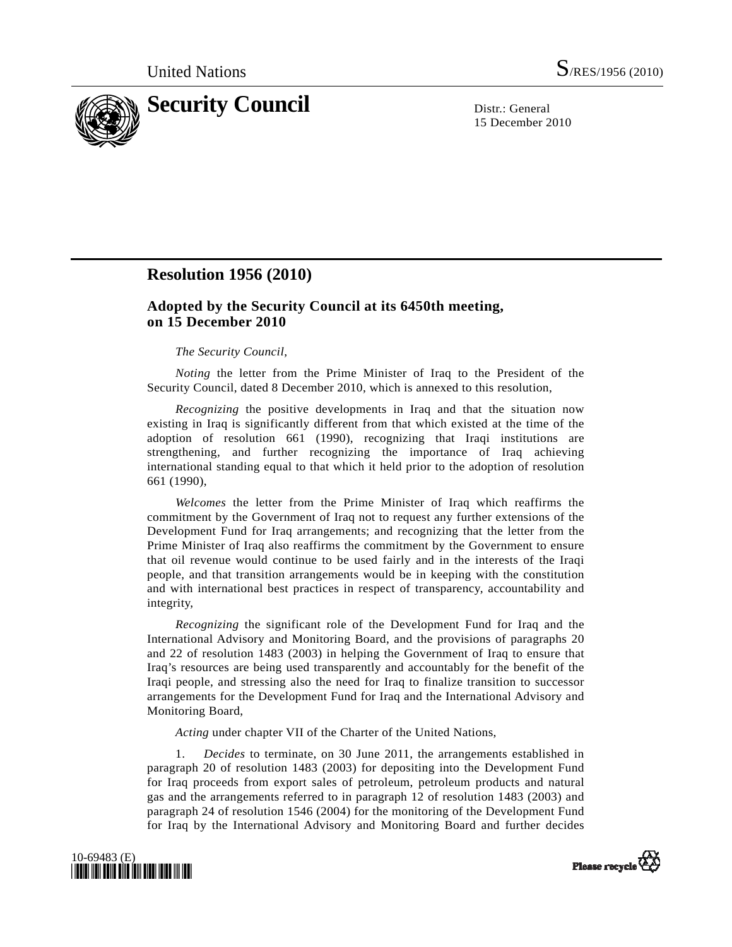

15 December 2010

# **Resolution 1956 (2010)**

## **Adopted by the Security Council at its 6450th meeting, on 15 December 2010**

#### *The Security Council*,

*Noting* the letter from the Prime Minister of Iraq to the President of the Security Council, dated 8 December 2010, which is annexed to this resolution,

*Recognizing* the positive developments in Iraq and that the situation now existing in Iraq is significantly different from that which existed at the time of the adoption of resolution 661 (1990), recognizing that Iraqi institutions are strengthening, and further recognizing the importance of Iraq achieving international standing equal to that which it held prior to the adoption of resolution 661 (1990),

*Welcomes* the letter from the Prime Minister of Iraq which reaffirms the commitment by the Government of Iraq not to request any further extensions of the Development Fund for Iraq arrangements; and recognizing that the letter from the Prime Minister of Iraq also reaffirms the commitment by the Government to ensure that oil revenue would continue to be used fairly and in the interests of the Iraqi people, and that transition arrangements would be in keeping with the constitution and with international best practices in respect of transparency, accountability and integrity,

*Recognizing* the significant role of the Development Fund for Iraq and the International Advisory and Monitoring Board, and the provisions of paragraphs 20 and 22 of resolution 1483 (2003) in helping the Government of Iraq to ensure that Iraq's resources are being used transparently and accountably for the benefit of the Iraqi people, and stressing also the need for Iraq to finalize transition to successor arrangements for the Development Fund for Iraq and the International Advisory and Monitoring Board,

*Acting* under chapter VII of the Charter of the United Nations,

 1. *Decides* to terminate, on 30 June 2011, the arrangements established in paragraph 20 of resolution 1483 (2003) for depositing into the Development Fund for Iraq proceeds from export sales of petroleum, petroleum products and natural gas and the arrangements referred to in paragraph 12 of resolution 1483 (2003) and paragraph 24 of resolution 1546 (2004) for the monitoring of the Development Fund for Iraq by the International Advisory and Monitoring Board and further decides



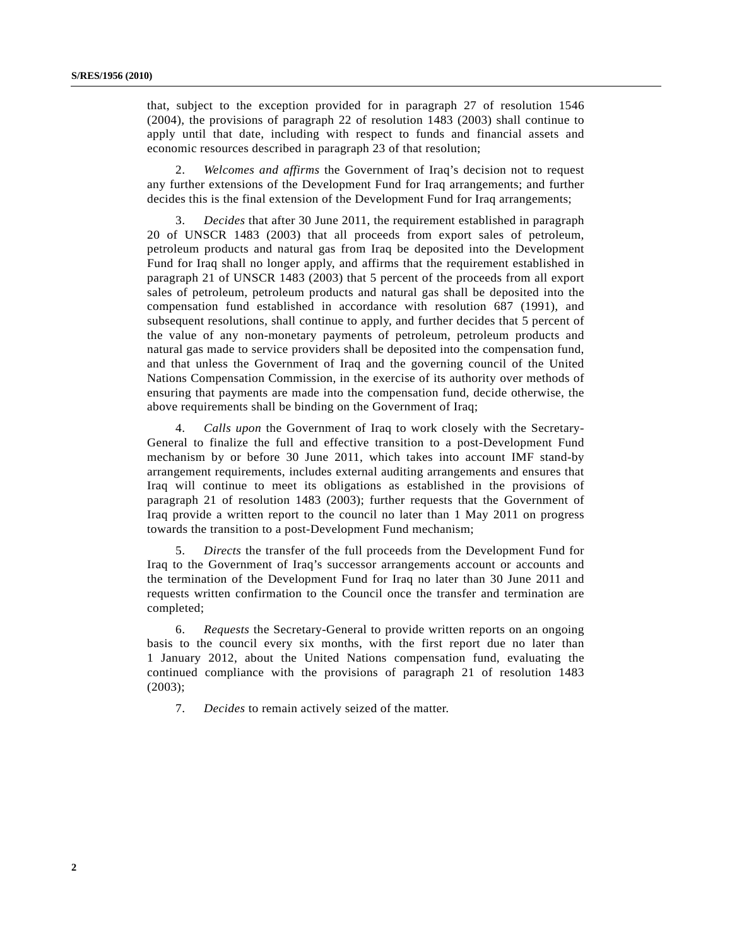that, subject to the exception provided for in paragraph 27 of resolution 1546 (2004), the provisions of paragraph 22 of resolution 1483 (2003) shall continue to apply until that date, including with respect to funds and financial assets and economic resources described in paragraph 23 of that resolution;

 2. *Welcomes and affirms* the Government of Iraq's decision not to request any further extensions of the Development Fund for Iraq arrangements; and further decides this is the final extension of the Development Fund for Iraq arrangements;

 3. *Decides* that after 30 June 2011, the requirement established in paragraph 20 of UNSCR 1483 (2003) that all proceeds from export sales of petroleum, petroleum products and natural gas from Iraq be deposited into the Development Fund for Iraq shall no longer apply, and affirms that the requirement established in paragraph 21 of UNSCR 1483 (2003) that 5 percent of the proceeds from all export sales of petroleum, petroleum products and natural gas shall be deposited into the compensation fund established in accordance with resolution 687 (1991), and subsequent resolutions, shall continue to apply, and further decides that 5 percent of the value of any non-monetary payments of petroleum, petroleum products and natural gas made to service providers shall be deposited into the compensation fund, and that unless the Government of Iraq and the governing council of the United Nations Compensation Commission, in the exercise of its authority over methods of ensuring that payments are made into the compensation fund, decide otherwise, the above requirements shall be binding on the Government of Iraq;

 4. *Calls upon* the Government of Iraq to work closely with the Secretary-General to finalize the full and effective transition to a post-Development Fund mechanism by or before 30 June 2011, which takes into account IMF stand-by arrangement requirements, includes external auditing arrangements and ensures that Iraq will continue to meet its obligations as established in the provisions of paragraph 21 of resolution 1483 (2003); further requests that the Government of Iraq provide a written report to the council no later than 1 May 2011 on progress towards the transition to a post-Development Fund mechanism;

 5. *Directs* the transfer of the full proceeds from the Development Fund for Iraq to the Government of Iraq's successor arrangements account or accounts and the termination of the Development Fund for Iraq no later than 30 June 2011 and requests written confirmation to the Council once the transfer and termination are completed;

 6. *Requests* the Secretary-General to provide written reports on an ongoing basis to the council every six months, with the first report due no later than 1 January 2012, about the United Nations compensation fund, evaluating the continued compliance with the provisions of paragraph 21 of resolution 1483 (2003);

7. *Decides* to remain actively seized of the matter.